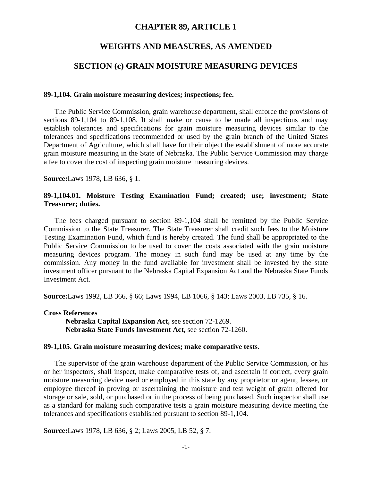# **CHAPTER 89, ARTICLE 1**

## **WEIGHTS AND MEASURES, AS AMENDED**

# **SECTION (c) GRAIN MOISTURE MEASURING DEVICES**

#### **89-1,104. Grain moisture measuring devices; inspections; fee.**

The Public Service Commission, grain warehouse department, shall enforce the provisions of sections 89-1,104 to 89-1,108. It shall make or cause to be made all inspections and may establish tolerances and specifications for grain moisture measuring devices similar to the tolerances and specifications recommended or used by the grain branch of the United States Department of Agriculture, which shall have for their object the establishment of more accurate grain moisture measuring in the State of Nebraska. The Public Service Commission may charge a fee to cover the cost of inspecting grain moisture measuring devices.

**Source:**Laws 1978, LB 636, § 1.

## **89-1,104.01. Moisture Testing Examination Fund; created; use; investment; State Treasurer; duties.**

The fees charged pursuant to section 89-1,104 shall be remitted by the Public Service Commission to the State Treasurer. The State Treasurer shall credit such fees to the Moisture Testing Examination Fund, which fund is hereby created. The fund shall be appropriated to the Public Service Commission to be used to cover the costs associated with the grain moisture measuring devices program. The money in such fund may be used at any time by the commission. Any money in the fund available for investment shall be invested by the state investment officer pursuant to the Nebraska Capital Expansion Act and the Nebraska State Funds Investment Act.

**Source:**Laws 1992, LB 366, § 66; Laws 1994, LB 1066, § 143; Laws 2003, LB 735, § 16.

**Cross References Nebraska Capital Expansion Act,** see section 72-1269. **Nebraska State Funds Investment Act,** see section 72-1260.

#### **89-1,105. Grain moisture measuring devices; make comparative tests.**

The supervisor of the grain warehouse department of the Public Service Commission, or his or her inspectors, shall inspect, make comparative tests of, and ascertain if correct, every grain moisture measuring device used or employed in this state by any proprietor or agent, lessee, or employee thereof in proving or ascertaining the moisture and test weight of grain offered for storage or sale, sold, or purchased or in the process of being purchased. Such inspector shall use as a standard for making such comparative tests a grain moisture measuring device meeting the tolerances and specifications established pursuant to section 89-1,104.

**Source:**Laws 1978, LB 636, § 2; Laws 2005, LB 52, § 7.